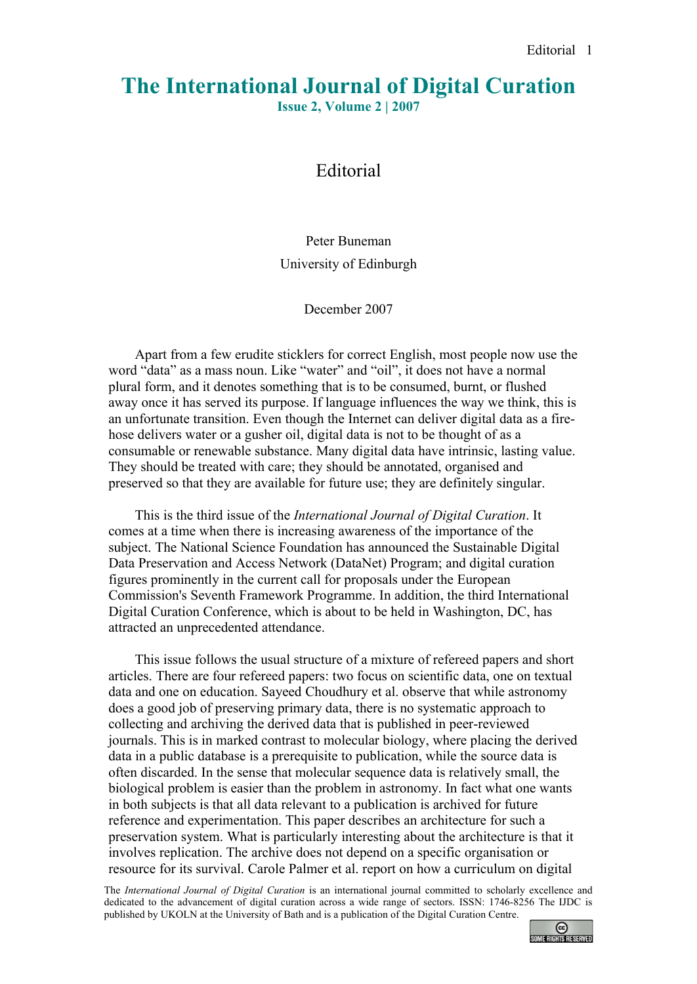## **The International Journal of Digital Curation**

**Issue 2, Volume 2 | 2007**

## Editorial

Peter Buneman University of Edinburgh

December 2007

Apart from a few erudite sticklers for correct English, most people now use the word "data" as a mass noun. Like "water" and "oil", it does not have a normal plural form, and it denotes something that is to be consumed, burnt, or flushed away once it has served its purpose. If language influences the way we think, this is an unfortunate transition. Even though the Internet can deliver digital data as a firehose delivers water or a gusher oil, digital data is not to be thought of as a consumable or renewable substance. Many digital data have intrinsic, lasting value. They should be treated with care; they should be annotated, organised and preserved so that they are available for future use; they are definitely singular.

This is the third issue of the *International Journal of Digital Curation*. It comes at a time when there is increasing awareness of the importance of the subject. The National Science Foundation has announced the Sustainable Digital Data Preservation and Access Network (DataNet) Program; and digital curation figures prominently in the current call for proposals under the European Commission's Seventh Framework Programme. In addition, the third International Digital Curation Conference, which is about to be held in Washington, DC, has attracted an unprecedented attendance.

This issue follows the usual structure of a mixture of refereed papers and short articles. There are four refereed papers: two focus on scientific data, one on textual data and one on education. Sayeed Choudhury et al. observe that while astronomy does a good job of preserving primary data, there is no systematic approach to collecting and archiving the derived data that is published in peer-reviewed journals. This is in marked contrast to molecular biology, where placing the derived data in a public database is a prerequisite to publication, while the source data is often discarded. In the sense that molecular sequence data is relatively small, the biological problem is easier than the problem in astronomy. In fact what one wants in both subjects is that all data relevant to a publication is archived for future reference and experimentation. This paper describes an architecture for such a preservation system. What is particularly interesting about the architecture is that it involves replication. The archive does not depend on a specific organisation or resource for its survival. Carole Palmer et al. report on how a curriculum on digital

The *International Journal of Digital Curation* is an international journal committed to scholarly excellence and dedicated to the advancement of digital curation across a wide range of sectors. ISSN: 1746-8256 The IJDC is published by UKOLN at the University of Bath and is a publication of the Digital Curation Centre.